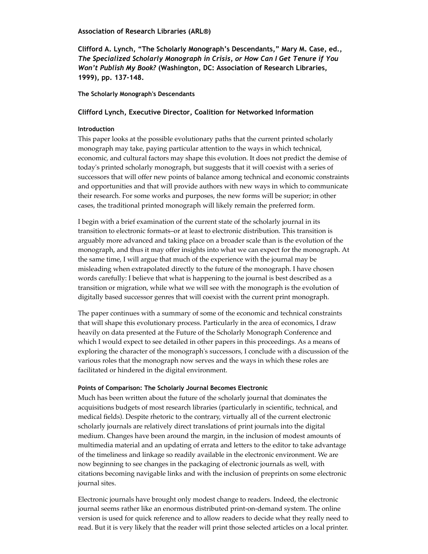## **Association of Research Libraries (ARL®)**

**Clifford A. Lynch, "The Scholarly Monograph's Descendants," Mary M. Case, ed.,** *The Specialized Scholarly Monograph in Crisis, or How Can I Get Tenure if You Won't Publish My Book?* **(Washington, DC: Association of Research Libraries, 1999), pp. 137‐148.**

## **The Scholarly Monograph's Descendants**

# **Clifford Lynch, Executive Director, Coalition for Networked Information**

# **Introduction**

This paper looks at the possible evolutionary paths that the current printed scholarly monograph may take, paying particular attention to the ways in which technical, economic, and cultural factors may shape this evolution. It does not predict the demise of today's printed scholarly monograph, but suggests that it will coexist with a series of successors that will offer new points of balance among technical and economic constraints and opportunities and that will provide authors with new ways in which to communicate their research. For some works and purposes, the new forms will be superior; in other cases, the traditional printed monograph will likely remain the preferred form.

I begin with a brief examination of the current state of the scholarly journal in its transition to electronic formats–or at least to electronic distribution. This transition is arguably more advanced and taking place on a broader scale than is the evolution of the monograph, and thus it may offer insights into what we can expect for the monograph. At the same time, I will argue that much of the experience with the journal may be misleading when extrapolated directly to the future of the monograph. I have chosen words carefully: I believe that what is happening to the journal is best described as a transition or migration, while what we will see with the monograph is the evolution of digitally based successor genres that will coexist with the current print monograph.

The paper continues with a summary of some of the economic and technical constraints that will shape this evolutionary process. Particularly in the area of economics, I draw heavily on data presented at the Future of the Scholarly Monograph Conference and which I would expect to see detailed in other papers in this proceedings. As a means of exploring the character of the monograph's successors, I conclude with a discussion of the various roles that the monograph now serves and the ways in which these roles are facilitated or hindered in the digital environment.

## **Points of Comparison: The Scholarly Journal Becomes Electronic**

Much has been written about the future of the scholarly journal that dominates the acquisitions budgets of most research libraries (particularly in scientific, technical, and medical fields). Despite rhetoric to the contrary, virtually all of the current electronic scholarly journals are relatively direct translations of print journals into the digital medium. Changes have been around the margin, in the inclusion of modest amounts of multimedia material and an updating of errata and letters to the editor to take advantage of the timeliness and linkage so readily available in the electronic environment. We are now beginning to see changes in the packaging of electronic journals as well, with citations becoming navigable links and with the inclusion of preprints on some electronic journal sites.

Electronic journals have brought only modest change to readers. Indeed, the electronic journal seems rather like an enormous distributed print-on-demand system. The online version is used for quick reference and to allow readers to decide what they really need to read. But it is very likely that the reader will print those selected articles on a local printer.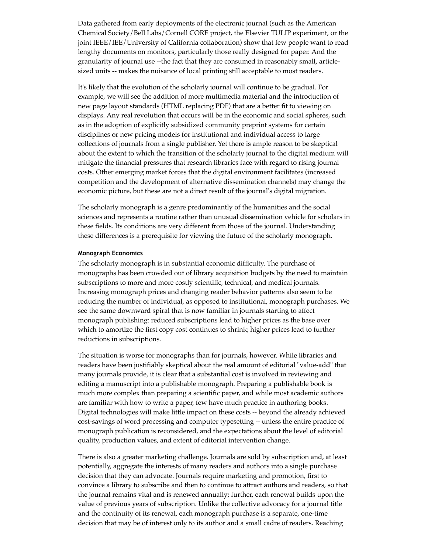Data gathered from early deployments of the electronic journal (such as the American Chemical Society/Bell Labs/Cornell CORE project, the Elsevier TULIP experiment, or the joint IEEE/IEE/University of California collaboration) show that few people want to read lengthy documents on monitors, particularly those really designed for paper. And the granularity of journal use --the fact that they are consumed in reasonably small, articlesized units -- makes the nuisance of local printing still acceptable to most readers.

It's likely that the evolution of the scholarly journal will continue to be gradual. For example, we will see the addition of more multimedia material and the introduction of new page layout standards (HTML replacing PDF) that are a better fit to viewing on displays. Any real revolution that occurs will be in the economic and social spheres, such as in the adoption of explicitly subsidized community preprint systems for certain disciplines or new pricing models for institutional and individual access to large collections of journals from a single publisher. Yet there is ample reason to be skeptical about the extent to which the transition of the scholarly journal to the digital medium will mitigate the financial pressures that research libraries face with regard to rising journal costs. Other emerging market forces that the digital environment facilitates (increased competition and the development of alternative dissemination channels) may change the economic picture, but these are not a direct result of the journal's digital migration.

The scholarly monograph is a genre predominantly of the humanities and the social sciences and represents a routine rather than unusual dissemination vehicle for scholars in these fields. Its conditions are very different from those of the journal. Understanding these differences is a prerequisite for viewing the future of the scholarly monograph.

#### **Monograph Economics**

The scholarly monograph is in substantial economic difficulty. The purchase of monographs has been crowded out of library acquisition budgets by the need to maintain subscriptions to more and more costly scientific, technical, and medical journals. Increasing monograph prices and changing reader behavior patterns also seem to be reducing the number of individual, as opposed to institutional, monograph purchases. We see the same downward spiral that is now familiar in journals starting to affect monograph publishing: reduced subscriptions lead to higher prices as the base over which to amortize the first copy cost continues to shrink; higher prices lead to further reductions in subscriptions.

The situation is worse for monographs than for journals, however. While libraries and readers have been justifiably skeptical about the real amount of editorial "value-add" that many journals provide, it is clear that a substantial cost is involved in reviewing and editing a manuscript into a publishable monograph. Preparing a publishable book is much more complex than preparing a scientific paper, and while most academic authors are familiar with how to write a paper, few have much practice in authoring books. Digital technologies will make little impact on these costs -- beyond the already achieved cost-savings of word processing and computer typesetting -- unless the entire practice of monograph publication is reconsidered, and the expectations about the level of editorial quality, production values, and extent of editorial intervention change.

There is also a greater marketing challenge. Journals are sold by subscription and, at least potentially, aggregate the interests of many readers and authors into a single purchase decision that they can advocate. Journals require marketing and promotion, first to convince a library to subscribe and then to continue to attract authors and readers, so that the journal remains vital and is renewed annually; further, each renewal builds upon the value of previous years of subscription. Unlike the collective advocacy for a journal title and the continuity of its renewal, each monograph purchase is a separate, one-time decision that may be of interest only to its author and a small cadre of readers. Reaching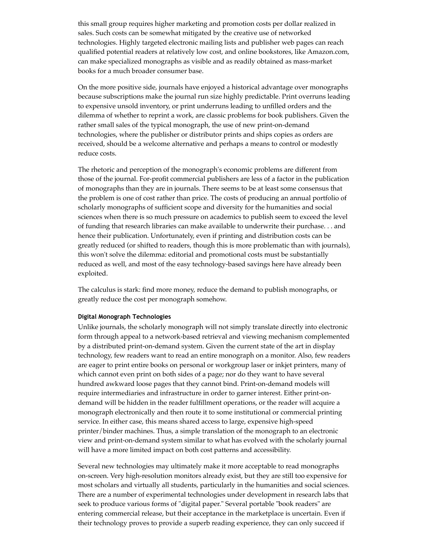this small group requires higher marketing and promotion costs per dollar realized in sales. Such costs can be somewhat mitigated by the creative use of networked technologies. Highly targeted electronic mailing lists and publisher web pages can reach qualified potential readers at relatively low cost, and online bookstores, like Amazon.com, can make specialized monographs as visible and as readily obtained as mass-market books for a much broader consumer base.

On the more positive side, journals have enjoyed a historical advantage over monographs because subscriptions make the journal run size highly predictable. Print overruns leading to expensive unsold inventory, or print underruns leading to unfilled orders and the dilemma of whether to reprint a work, are classic problems for book publishers. Given the rather small sales of the typical monograph, the use of new print-on-demand technologies, where the publisher or distributor prints and ships copies as orders are received, should be a welcome alternative and perhaps a means to control or modestly reduce costs.

The rhetoric and perception of the monograph's economic problems are different from those of the journal. For-profit commercial publishers are less of a factor in the publication of monographs than they are in journals. There seems to be at least some consensus that the problem is one of cost rather than price. The costs of producing an annual portfolio of scholarly monographs of sufficient scope and diversity for the humanities and social sciences when there is so much pressure on academics to publish seem to exceed the level of funding that research libraries can make available to underwrite their purchase. . . and hence their publication. Unfortunately, even if printing and distribution costs can be greatly reduced (or shifted to readers, though this is more problematic than with journals), this won't solve the dilemma: editorial and promotional costs must be substantially reduced as well, and most of the easy technology-based savings here have already been exploited.

The calculus is stark: find more money, reduce the demand to publish monographs, or greatly reduce the cost per monograph somehow.

### **Digital Monograph Technologies**

Unlike journals, the scholarly monograph will not simply translate directly into electronic form through appeal to a network-based retrieval and viewing mechanism complemented by a distributed print-on-demand system. Given the current state of the art in display technology, few readers want to read an entire monograph on a monitor. Also, few readers are eager to print entire books on personal or workgroup laser or inkjet printers, many of which cannot even print on both sides of a page; nor do they want to have several hundred awkward loose pages that they cannot bind. Print-on-demand models will require intermediaries and infrastructure in order to garner interest. Either print-ondemand will be hidden in the reader fulfillment operations, or the reader will acquire a monograph electronically and then route it to some institutional or commercial printing service. In either case, this means shared access to large, expensive high-speed printer/binder machines. Thus, a simple translation of the monograph to an electronic view and print-on-demand system similar to what has evolved with the scholarly journal will have a more limited impact on both cost patterns and accessibility.

Several new technologies may ultimately make it more acceptable to read monographs on-screen. Very high-resolution monitors already exist, but they are still too expensive for most scholars and virtually all students, particularly in the humanities and social sciences. There are a number of experimental technologies under development in research labs that seek to produce various forms of "digital paper." Several portable "book readers" are entering commercial release, but their acceptance in the marketplace is uncertain. Even if their technology proves to provide a superb reading experience, they can only succeed if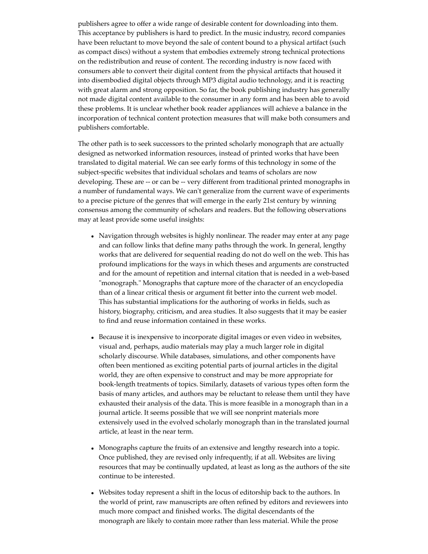publishers agree to offer a wide range of desirable content for downloading into them. This acceptance by publishers is hard to predict. In the music industry, record companies have been reluctant to move beyond the sale of content bound to a physical artifact (such as compact discs) without a system that embodies extremely strong technical protections on the redistribution and reuse of content. The recording industry is now faced with consumers able to convert their digital content from the physical artifacts that housed it into disembodied digital objects through MP3 digital audio technology, and it is reacting with great alarm and strong opposition. So far, the book publishing industry has generally not made digital content available to the consumer in any form and has been able to avoid these problems. It is unclear whether book reader appliances will achieve a balance in the incorporation of technical content protection measures that will make both consumers and publishers comfortable.

The other path is to seek successors to the printed scholarly monograph that are actually designed as networked information resources, instead of printed works that have been translated to digital material. We can see early forms of this technology in some of the subject-specific websites that individual scholars and teams of scholars are now developing. These are -- or can be -- very different from traditional printed monographs in a number of fundamental ways. We can't generalize from the current wave of experiments to a precise picture of the genres that will emerge in the early 21st century by winning consensus among the community of scholars and readers. But the following observations may at least provide some useful insights:

- Navigation through websites is highly nonlinear. The reader may enter at any page and can follow links that define many paths through the work. In general, lengthy works that are delivered for sequential reading do not do well on the web. This has profound implications for the ways in which theses and arguments are constructed and for the amount of repetition and internal citation that is needed in a web-based "monograph." Monographs that capture more of the character of an encyclopedia than of a linear critical thesis or argument fit better into the current web model. This has substantial implications for the authoring of works in fields, such as history, biography, criticism, and area studies. It also suggests that it may be easier to find and reuse information contained in these works.
- Because it is inexpensive to incorporate digital images or even video in websites, visual and, perhaps, audio materials may play a much larger role in digital scholarly discourse. While databases, simulations, and other components have often been mentioned as exciting potential parts of journal articles in the digital world, they are often expensive to construct and may be more appropriate for book-length treatments of topics. Similarly, datasets of various types often form the basis of many articles, and authors may be reluctant to release them until they have exhausted their analysis of the data. This is more feasible in a monograph than in a journal article. It seems possible that we will see nonprint materials more extensively used in the evolved scholarly monograph than in the translated journal article, at least in the near term.
- Monographs capture the fruits of an extensive and lengthy research into a topic. Once published, they are revised only infrequently, if at all. Websites are living resources that may be continually updated, at least as long as the authors of the site continue to be interested.
- Websites today represent a shift in the locus of editorship back to the authors. In the world of print, raw manuscripts are often refined by editors and reviewers into much more compact and finished works. The digital descendants of the monograph are likely to contain more rather than less material. While the prose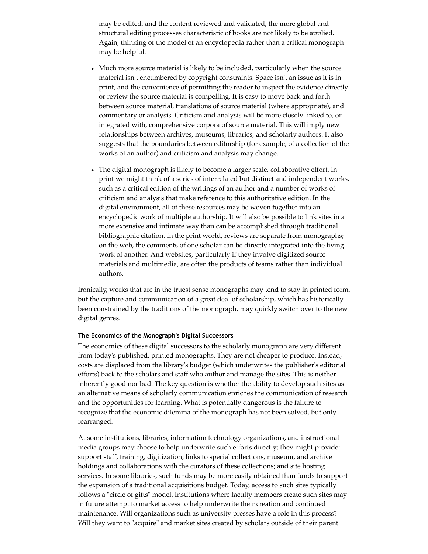may be edited, and the content reviewed and validated, the more global and structural editing processes characteristic of books are not likely to be applied. Again, thinking of the model of an encyclopedia rather than a critical monograph may be helpful.

- Much more source material is likely to be included, particularly when the source material isn't encumbered by copyright constraints. Space isn't an issue as it is in print, and the convenience of permitting the reader to inspect the evidence directly or review the source material is compelling. It is easy to move back and forth between source material, translations of source material (where appropriate), and commentary or analysis. Criticism and analysis will be more closely linked to, or integrated with, comprehensive corpora of source material. This will imply new relationships between archives, museums, libraries, and scholarly authors. It also suggests that the boundaries between editorship (for example, of a collection of the works of an author) and criticism and analysis may change.
- The digital monograph is likely to become a larger scale, collaborative effort. In print we might think of a series of interrelated but distinct and independent works, such as a critical edition of the writings of an author and a number of works of criticism and analysis that make reference to this authoritative edition. In the digital environment, all of these resources may be woven together into an encyclopedic work of multiple authorship. It will also be possible to link sites in a more extensive and intimate way than can be accomplished through traditional bibliographic citation. In the print world, reviews are separate from monographs; on the web, the comments of one scholar can be directly integrated into the living work of another. And websites, particularly if they involve digitized source materials and multimedia, are often the products of teams rather than individual authors.

Ironically, works that are in the truest sense monographs may tend to stay in printed form, but the capture and communication of a great deal of scholarship, which has historically been constrained by the traditions of the monograph, may quickly switch over to the new digital genres.

### **The Economics of the Monograph's Digital Successors**

The economics of these digital successors to the scholarly monograph are very different from today's published, printed monographs. They are not cheaper to produce. Instead, costs are displaced from the library's budget (which underwrites the publisher's editorial efforts) back to the scholars and staff who author and manage the sites. This is neither inherently good nor bad. The key question is whether the ability to develop such sites as an alternative means of scholarly communication enriches the communication of research and the opportunities for learning. What is potentially dangerous is the failure to recognize that the economic dilemma of the monograph has not been solved, but only rearranged.

At some institutions, libraries, information technology organizations, and instructional media groups may choose to help underwrite such efforts directly; they might provide: support staff, training, digitization; links to special collections, museum, and archive holdings and collaborations with the curators of these collections; and site hosting services. In some libraries, such funds may be more easily obtained than funds to support the expansion of a traditional acquisitions budget. Today, access to such sites typically follows a "circle of gifts" model. Institutions where faculty members create such sites may in future attempt to market access to help underwrite their creation and continued maintenance. Will organizations such as university presses have a role in this process? Will they want to "acquire" and market sites created by scholars outside of their parent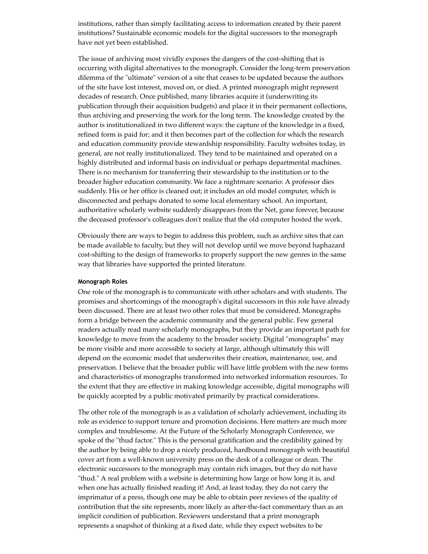institutions, rather than simply facilitating access to information created by their parent institutions? Sustainable economic models for the digital successors to the monograph have not yet been established.

The issue of archiving most vividly exposes the dangers of the cost-shifting that is occurring with digital alternatives to the monograph. Consider the long-term preservation dilemma of the "ultimate" version of a site that ceases to be updated because the authors of the site have lost interest, moved on, or died. A printed monograph might represent decades of research. Once published, many libraries acquire it (underwriting its publication through their acquisition budgets) and place it in their permanent collections, thus archiving and preserving the work for the long term. The knowledge created by the author is institutionalized in two different ways: the capture of the knowledge in a fixed, refined form is paid for; and it then becomes part of the collection for which the research and education community provide stewardship responsibility. Faculty websites today, in general, are not really institutionalized. They tend to be maintained and operated on a highly distributed and informal basis on individual or perhaps departmental machines. There is no mechanism for transferring their stewardship to the institution or to the broader higher education community. We face a nightmare scenario: A professor dies suddenly. His or her office is cleaned out; it includes an old model computer, which is disconnected and perhaps donated to some local elementary school. An important, authoritative scholarly website suddenly disappears from the Net, gone forever, because the deceased professor's colleagues don't realize that the old computer hosted the work.

Obviously there are ways to begin to address this problem, such as archive sites that can be made available to faculty, but they will not develop until we move beyond haphazard cost-shifting to the design of frameworks to properly support the new genres in the same way that libraries have supported the printed literature.

#### **Monograph Roles**

One role of the monograph is to communicate with other scholars and with students. The promises and shortcomings of the monograph's digital successors in this role have already been discussed. There are at least two other roles that must be considered. Monographs form a bridge between the academic community and the general public. Few general readers actually read many scholarly monographs, but they provide an important path for knowledge to move from the academy to the broader society. Digital "monographs" may be more visible and more accessible to society at large, although ultimately this will depend on the economic model that underwrites their creation, maintenance, use, and preservation. I believe that the broader public will have little problem with the new forms and characteristics of monographs transformed into networked information resources. To the extent that they are effective in making knowledge accessible, digital monographs will be quickly accepted by a public motivated primarily by practical considerations.

The other role of the monograph is as a validation of scholarly achievement, including its role as evidence to support tenure and promotion decisions. Here matters are much more complex and troublesome. At the Future of the Scholarly Monograph Conference, we spoke of the "thud factor." This is the personal gratification and the credibility gained by the author by being able to drop a nicely produced, hardbound monograph with beautiful cover art from a well-known university press on the desk of a colleague or dean. The electronic successors to the monograph may contain rich images, but they do not have "thud." A real problem with a website is determining how large or how long it is, and when one has actually finished reading it! And, at least today, they do not carry the imprimatur of a press, though one may be able to obtain peer reviews of the quality of contribution that the site represents, more likely as after-the-fact commentary than as an implicit condition of publication. Reviewers understand that a print monograph represents a snapshot of thinking at a fixed date, while they expect websites to be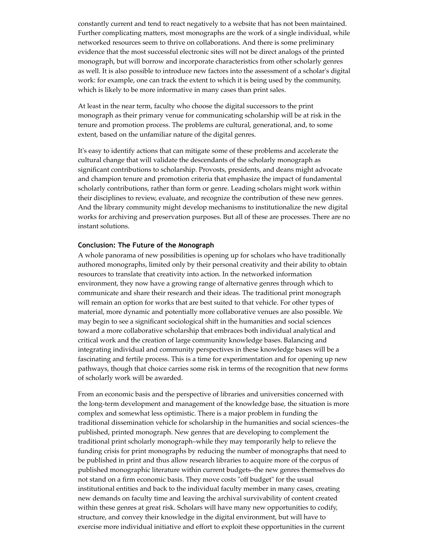constantly current and tend to react negatively to a website that has not been maintained. Further complicating matters, most monographs are the work of a single individual, while networked resources seem to thrive on collaborations. And there is some preliminary evidence that the most successful electronic sites will not be direct analogs of the printed monograph, but will borrow and incorporate characteristics from other scholarly genres as well. It is also possible to introduce new factors into the assessment of a scholar's digital work: for example, one can track the extent to which it is being used by the community, which is likely to be more informative in many cases than print sales.

At least in the near term, faculty who choose the digital successors to the print monograph as their primary venue for communicating scholarship will be at risk in the tenure and promotion process. The problems are cultural, generational, and, to some extent, based on the unfamiliar nature of the digital genres.

It's easy to identify actions that can mitigate some of these problems and accelerate the cultural change that will validate the descendants of the scholarly monograph as significant contributions to scholarship. Provosts, presidents, and deans might advocate and champion tenure and promotion criteria that emphasize the impact of fundamental scholarly contributions, rather than form or genre. Leading scholars might work within their disciplines to review, evaluate, and recognize the contribution of these new genres. And the library community might develop mechanisms to institutionalize the new digital works for archiving and preservation purposes. But all of these are processes. There are no instant solutions.

#### **Conclusion: The Future of the Monograph**

A whole panorama of new possibilities is opening up for scholars who have traditionally authored monographs, limited only by their personal creativity and their ability to obtain resources to translate that creativity into action. In the networked information environment, they now have a growing range of alternative genres through which to communicate and share their research and their ideas. The traditional print monograph will remain an option for works that are best suited to that vehicle. For other types of material, more dynamic and potentially more collaborative venues are also possible. We may begin to see a significant sociological shift in the humanities and social sciences toward a more collaborative scholarship that embraces both individual analytical and critical work and the creation of large community knowledge bases. Balancing and integrating individual and community perspectives in these knowledge bases will be a fascinating and fertile process. This is a time for experimentation and for opening up new pathways, though that choice carries some risk in terms of the recognition that new forms of scholarly work will be awarded.

From an economic basis and the perspective of libraries and universities concerned with the long-term development and management of the knowledge base, the situation is more complex and somewhat less optimistic. There is a major problem in funding the traditional dissemination vehicle for scholarship in the humanities and social sciences–the published, printed monograph. New genres that are developing to complement the traditional print scholarly monograph–while they may temporarily help to relieve the funding crisis for print monographs by reducing the number of monographs that need to be published in print and thus allow research libraries to acquire more of the corpus of published monographic literature within current budgets–the new genres themselves do not stand on a firm economic basis. They move costs "off budget" for the usual institutional entities and back to the individual faculty member in many cases, creating new demands on faculty time and leaving the archival survivability of content created within these genres at great risk. Scholars will have many new opportunities to codify, structure, and convey their knowledge in the digital environment, but will have to exercise more individual initiative and effort to exploit these opportunities in the current